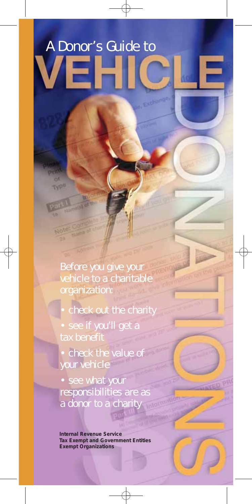# A Donor's Guide to

chinnot

Before you give your vehicle to a charitable organization:

**MPB** 

Notes

check out the charity

see if you'll get a tax benefit

• check the value of your vehicle

• see what your responsibilities are as a donor to a charity

**Internal Revenue Service Tax Exempt and Government Entities Exempt Organizations**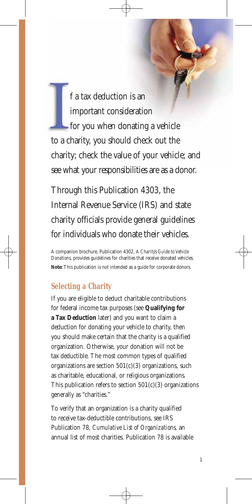f a tax deduction is an important consideration **for you when donating a vehicle** to a charity, you should check out the charity; check the value of your vehicle; and see what your responsibilities are as a donor.

Through this Publication 4303, the Internal Revenue Service (IRS) and state charity officials provide general guidelines for individuals who donate their vehicles.

A companion brochure, Publication 4302, *A Charity's Guide to Vehicle Donations*, provides guidelines for charities that receive donated vehicles. **Note:** This publication is not intended as a guide for corporate donors.

# **Selecting a Charity**

If you are eligible to deduct charitable contributions for federal income tax purposes (see **Qualifying for a Tax Deduction** later) and you want to claim a deduction for donating your vehicle to charity, then you should make certain that the charity is a qualified organization. Otherwise, your donation will not be tax deductible. The most common types of qualified organizations are section  $501(c)(3)$  organizations, such as charitable, educational, or religious organizations. This publication refers to section  $501(c)(3)$  organizations generally as "charities."

To verify that an organization is a charity qualified to receive tax-deductible contributions, see IRS Publication 78, *Cumulative List of Organizations,* an annual list of most charities. Publication 78 is available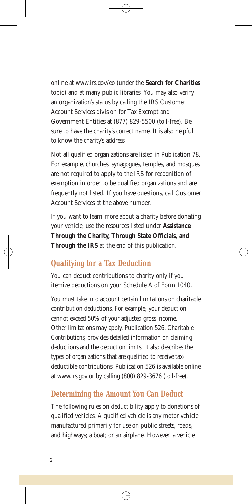online at www.irs.gov/eo (under the **Search for Charities**  topic) and at many public libraries. You may also verify an organization's status by calling the IRS Customer Account Services division for Tax Exempt and Government Entities at (877) 829-5500 (toll-free). Be sure to have the charity's correct name. It is also helpful to know the charity's address.

Not all qualified organizations are listed in Publication 78. For example, churches, synagogues, temples, and mosques are not required to apply to the IRS for recognition of exemption in order to be qualified organizations and are frequently not listed. If you have questions, call Customer Account Services at the above number.

If you want to learn more about a charity before donating your vehicle, use the resources listed under **Assistance Through the Charity, Through State Officials, and Through the IRS** at the end of this publication.

# **Qualifying for a Tax Deduction**

You can deduct contributions to charity only if you itemize deductions on your Schedule A of Form 1040.

You must take into account certain limitations on charitable contribution deductions. For example, your deduction cannot exceed 50% of your adjusted gross income. Other limitations may apply. Publication 526, *Charitable Contributions*, provides detailed information on claiming deductions and the deduction limits. It also describes the types of organizations that are qualified to receive taxdeductible contributions. Publication 526 is available online at www.irs.gov or by calling (800) 829-3676 (toll-free).

# **Determining the Amount You Can Deduct**

The following rules on deductibility apply to donations of qualified vehicles. A qualified vehicle is any motor vehicle manufactured primarily for use on public streets, roads, and highways; a boat; or an airplane. However, a vehicle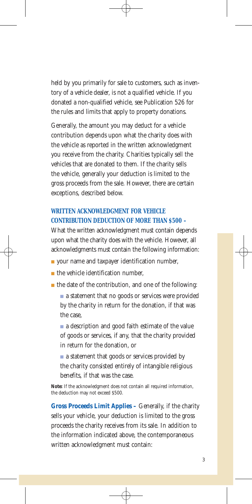held by you primarily for sale to customers, such as inventory of a vehicle dealer, is not a qualified vehicle. If you donated a non-qualified vehicle, see Publication 526 for the rules and limits that apply to property donations.

Generally, the amount you may deduct for a vehicle contribution depends upon what the charity does with the vehicle as reported in the written acknowledgment you receive from the charity. Charities typically sell the vehicles that are donated to them. If the charity sells the vehicle, generally your deduction is limited to the gross proceeds from the sale. However, there are certain exceptions, described below.

## **WRITTEN ACKNOWLEDGMENT FOR VEHICLE CONTRIBUTION DEDUCTION OF MORE THAN \$500 –**

What the written acknowledgment must contain depends upon what the charity does with the vehicle. However, all acknowledgments must contain the following information:

- your name and taxpayer identification number,
- the vehicle identification number.
- the date of the contribution, and one of the following:
	- a statement that no goods or services were provided by the charity in return for the donation, if that was the case,
	- a description and good faith estimate of the value of goods or services, if any, that the charity provided in return for the donation, or

■ a statement that goods or services provided by the charity consisted entirely of intangible religious benefits, if that was the case.

**Note:** If the acknowledgment does not contain all required information, the deduction may not exceed \$500.

**Gross Proceeds Limit Applies –** Generally, if the charity sells your vehicle, your deduction is limited to the gross proceeds the charity receives from its sale. In addition to the information indicated above, the contemporaneous written acknowledgment must contain: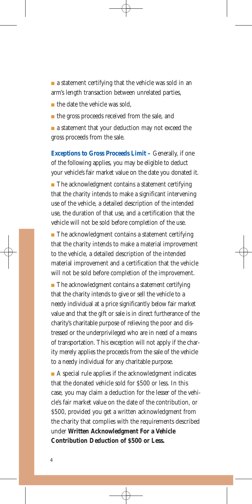$\blacksquare$  a statement certifying that the vehicle was sold in an arm's length transaction between unrelated parties,

■ the date the vehicle was sold,

■ the gross proceeds received from the sale, and

■ a statement that your deduction may not exceed the gross proceeds from the sale.

**Exceptions to Gross Proceeds Limit – Generally, if one** of the following applies, you may be eligible to deduct your vehicle's fair market value on the date you donated it.  $\blacksquare$  The acknowledgment contains a statement certifying that the charity intends to make a significant intervening use of the vehicle, a detailed description of the intended use, the duration of that use, and a certification that the vehicle will not be sold before completion of the use.

■ The acknowledgment contains a statement certifying that the charity intends to make a material improvement to the vehicle, a detailed description of the intended material improvement and a certification that the vehicle will not be sold before completion of the improvement.

■ The acknowledgment contains a statement certifying that the charity intends to give or sell the vehicle to a needy individual at a price significantly below fair market value and that the gift or sale is in direct furtherance of the charity's charitable purpose of relieving the poor and distressed or the underprivileged who are in need of a means of transportation. This exception will not apply if the charity merely applies the proceeds from the sale of the vehicle to a needy individual for any charitable purpose.

 $\blacksquare$  A special rule applies if the acknowledgment indicates that the donated vehicle sold for \$500 or less. In this case, you may claim a deduction for the lesser of the vehicle's fair market value on the date of the contribution, or \$500, provided you get a written acknowledgment from the charity that complies with the requirements described under **Written Acknowledgment For a Vehicle Contribution Deduction of \$500 or Less.**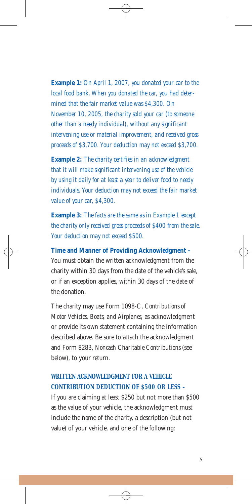**Example 1:** *On April 1, 2007, you donated your car to the local food bank. When you donated the car, you had determined that the fair market value was \$4,300. On November 10, 2005, the charity sold your car (to someone other than a needy individual), without any significant intervening use or material improvement, and received gross proceeds of \$3,700. Your deduction may not exceed \$3,700.* 

**Example 2:** *The charity certifies in an acknowledgment that it will make significant intervening use of the vehicle by using it daily for at least a year to deliver food to needy individuals. Your deduction may not exceed the fair market value of your car, \$4,300.* 

**Example 3:** *The facts are the same as in Example 1 except the charity only received gross proceeds of \$400 from the sale. Your deduction may not exceed \$500.* 

**Time and Manner of Providing Acknowledgment –**  You must obtain the written acknowledgment from the charity within 30 days from the date of the vehicle's sale, or if an exception applies, within 30 days of the date of the donation.

The charity may use Form 1098-C, *Contributions of Motor Vehicles, Boats, and Airplanes,* as acknowledgment or provide its own statement containing the information described above. Be sure to attach the acknowledgment and Form 8283, *Noncash Charitable Contributions* (see below), to your return.

#### **WRITTEN ACKNOWLEDGMENT FOR A VEHICLE CONTRIBUTION DEDUCTION OF \$500 OR LESS –**

If you are claiming at least \$250 but not more than \$500 as the value of your vehicle, the acknowledgment must include the name of the charity, a description (but not value) of your vehicle, and one of the following: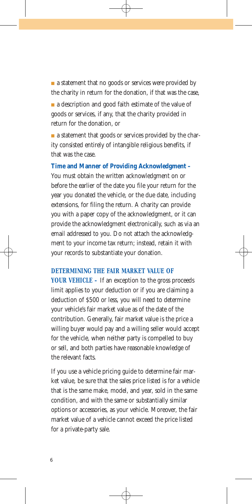■ a statement that no goods or services were provided by the charity in return for the donation, if that was the case, ■ a description and good faith estimate of the value of

goods or services, if any, that the charity provided in return for the donation, or

■ a statement that goods or services provided by the charity consisted entirely of intangible religious benefits, if that was the case.

**Time and Manner of Providing Acknowledgment –**  You must obtain the written acknowledgment on or before the earlier of the date you file your return for the year you donated the vehicle, or the due date, including extensions, for filing the return. A charity can provide you with a paper copy of the acknowledgment, or it can provide the acknowledgment electronically, such as via an email addressed to you. Do not attach the acknowledgment to your income tax return; instead, retain it with your records to substantiate your donation.

#### **DETERMINING THE FAIR MARKET VALUE OF**

**YOUR VEHICLE –** If an exception to the gross proceeds limit applies to your deduction or if you are claiming a deduction of \$500 or less, you will need to determine your vehicle's fair market value as of the date of the contribution. Generally, fair market value is the price a willing buyer would pay and a willing seller would accept for the vehicle, when neither party is compelled to buy or sell, and both parties have reasonable knowledge of the relevant facts.

If you use a vehicle pricing guide to determine fair market value, be sure that the sales price listed is for a vehicle that is the same make, model, and year, sold in the same condition, and with the same or substantially similar options or accessories, as your vehicle. Moreover, the fair market value of a vehicle cannot exceed the price listed for a private-party sale.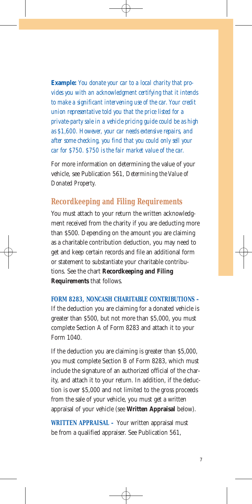**Example:** *You donate your car to a local charity that provides you with an acknowledgment certifying that it intends to make a significant intervening use of the car. Your credit union representative told you that the price listed for a private-party sale in a vehicle pricing guide could be as high as \$1,600. However, your car needs extensive repairs, and after some checking, you find that you could only sell your car for \$750. \$750 is the fair market value of the car.* 

For more information on determining the value of your vehicle, see Publication 561, *Determining the Value of Donated Property.* 

## **Recordkeeping and Filing Requirements**

You must attach to your return the written acknowledgment received from the charity if you are deducting more than \$500. Depending on the amount you are claiming as a charitable contribution deduction, you may need to get and keep certain records and file an additional form or statement to substantiate your charitable contributions. See the chart **Recordkeeping and Filing Requirements** that follows.

**FORM 8283, NONCASH CHARITABLE CONTRIBUTIONS –**  If the deduction you are claiming for a donated vehicle is greater than \$500, but not more than \$5,000, you must complete Section A of Form 8283 and attach it to your Form 1040.

If the deduction you are claiming is greater than \$5,000, you must complete Section B of Form 8283, which must include the signature of an authorized official of the charity, and attach it to your return. In addition, if the deduction is over \$5,000 and not limited to the gross proceeds from the sale of your vehicle, you must get a written appraisal of your vehicle (see **Written Appraisal** below).

**WRITTEN APPRAISAL –** Your written appraisal must be from a qualified appraiser. See Publication 561,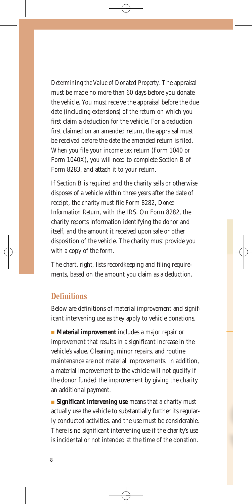*Determining the Value of Donated Property.* The appraisal must be made no more than 60 days before you donate the vehicle. You must receive the appraisal before the due date (including extensions) of the return on which you first claim a deduction for the vehicle. For a deduction first claimed on an amended return, the appraisal must be received before the date the amended return is filed. When you file your income tax return (Form 1040 or Form 1040X), you will need to complete Section B of Form 8283, and attach it to your return.

If Section B is required and the charity sells or otherwise disposes of a vehicle within three years after the date of receipt, the charity must file Form 8282, *Donee Information Return,* with the IRS. On Form 8282, the charity reports information identifying the donor and itself, and the amount it received upon sale or other disposition of the vehicle. The charity must provide you with a copy of the form.

The chart, right, lists recordkeeping and filing requirements, based on the amount you claim as a deduction.

#### **Definitions**

Below are definitions of material improvement and significant intervening use as they apply to vehicle donations.

■ **Material improvement** includes a major repair or improvement that results in a significant increase in the vehicle's value. Cleaning, minor repairs, and routine maintenance are not material improvements. In addition, a material improvement to the vehicle will not qualify if the donor funded the improvement by giving the charity an additional payment.

■ **Significant intervening use** means that a charity must actually use the vehicle to substantially further its regularly conducted activities, and the use must be considerable. There is no significant intervening use if the charity's use is incidental or not intended at the time of the donation.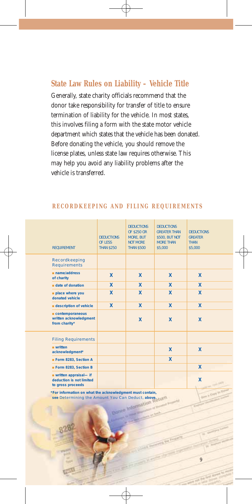#### **State Law Rules on Liability – Vehicle Title**

Generally, state charity officials recommend that the donor take responsibility for transfer of title to ensure termination of liability for the vehicle. In most states, this involves filing a form with the state motor vehicle department which states that the vehicle has been donated. Before donating the vehicle, you should remove the license plates, unless state law requires otherwise. This may help you avoid any liability problems after the vehicle is transferred.

| <b>REQUIREMENT</b>                                                        | <b>DEDUCTIONS</b><br><b>OF LESS</b><br><b>THAN \$250</b> | <b>DEDUCTIONS</b><br><b>OF \$250 OR</b><br><b>MORE, BUT</b><br><b>NOT MORE</b><br><b>THAN \$500</b> | <b>DEDUCTIONS</b><br><b>GREATER THAN</b><br>\$500, BUT NOT<br><b>MORE THAN</b><br>\$5,000 | <b>DEDUCTIONS</b><br><b>GREATER</b><br><b>THAN</b><br>\$5,000 |
|---------------------------------------------------------------------------|----------------------------------------------------------|-----------------------------------------------------------------------------------------------------|-------------------------------------------------------------------------------------------|---------------------------------------------------------------|
| <b>Recordkeeping</b><br><b>Requirements</b>                               |                                                          |                                                                                                     |                                                                                           |                                                               |
| $n$ name/address<br>of charity                                            | $\mathbf x$                                              | X                                                                                                   | X                                                                                         | X                                                             |
| $\blacksquare$ date of donation                                           | $\overline{\mathbf{x}}$                                  | $\mathbf{x}$                                                                                        | $\mathbf{x}$                                                                              | $\mathbf x$                                                   |
| place where you<br>donated vehicle                                        | X                                                        | $\mathbf{x}$                                                                                        | $\mathbf{x}$                                                                              | X                                                             |
| <b>description of vehicle</b>                                             | X                                                        | X                                                                                                   | X                                                                                         | X                                                             |
| $\blacksquare$ contemporaneous<br>written acknowledgment<br>from charity* |                                                          | X                                                                                                   | X                                                                                         | X                                                             |
| <b>Filing Requirements</b>                                                |                                                          |                                                                                                     |                                                                                           |                                                               |
| $written$<br>acknowledgment*                                              |                                                          |                                                                                                     | X                                                                                         | X                                                             |
| Form 8283, Section A                                                      |                                                          |                                                                                                     | X                                                                                         |                                                               |
| Form 8283, Section B                                                      |                                                          |                                                                                                     |                                                                                           | X                                                             |
| written appraisal- if<br>deduction is not limited<br>to gross proceeds    |                                                          |                                                                                                     |                                                                                           | X                                                             |

9

#### **RECORDKEEPING AND FILING REQUIREMENTS**

**\*For information on what the acknowledgment must contain,**  see Determining the Amount You Can Deduct, above.<br> **See Determining the Amount You Can Deduct, above.**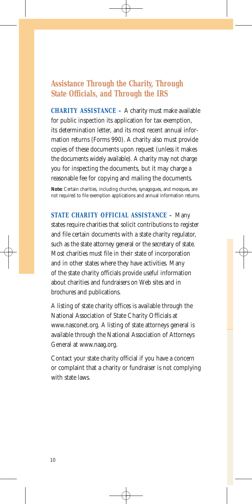### **Assistance Through the Charity, Through State Officials, and Through the IRS**

**CHARITY ASSISTANCE –** A charity must make available for public inspection its application for tax exemption, its determination letter, and its most recent annual information returns (Forms 990). A charity also must provide copies of these documents upon request (unless it makes the documents widely available). A charity may not charge you for inspecting the documents, but it may charge a reasonable fee for copying and mailing the documents.

Note: Certain charities, including churches, synagogues, and mosques, are not required to file exemption applications and annual information returns.

**STATE CHARITY OFFICIAL ASSISTANCE –** Many states require charities that solicit contributions to register and file certain documents with a state charity regulator, such as the state attorney general or the secretary of state. Most charities must file in their state of incorporation and in other states where they have activities. Many of the state charity officials provide useful information about charities and fundraisers on Web sites and in brochures and publications.

A listing of state charity offices is available through the National Association of State Charity Officials at www.nasconet.org. A listing of state attorneys general is available through the National Association of Attorneys General at www.naag.org.

Contact your state charity official if you have a concern or complaint that a charity or fundraiser is not complying with state laws.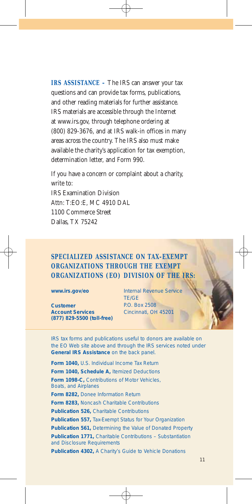**IRS ASSISTANCE –** The IRS can answer your tax questions and can provide tax forms, publications, and other reading materials for further assistance. IRS materials are accessible through the Internet at www.irs.gov, through telephone ordering at (800) 829-3676, and at IRS walk-in offices in many areas across the country. The IRS also must make available the charity's application for tax exemption, determination letter, and Form 990.

If you have a concern or complaint about a charity, write to: IRS Examination Division Attn: T:EO:E, MC 4910 DAL 1100 Commerce Street Dallas, TX 75242

#### **SPECIALIZED ASSISTANCE ON TAX-EXEMPT ORGANIZATIONS THROUGH THE EXEMPT ORGANIZATIONS (EO) DIVISION OF THE IRS:**

**Customer**  P.O. Box 2508 **Account Services Cincinnati**, OH 45201 **(877) 829-5500 (toll-free)** 

**www.irs.gov/eo Internal Revenue Service** TE/GE

IRS tax forms and publications useful to donors are available on the EO Web site above and through the IRS services noted under **General IRS Assistance** on the back panel.

**Form 1040,** *U.S. Individual Income Tax Return*  **Form 1040, Schedule A,** *Itemized Deductions*  **Form 1098-C,** *Contributions of Motor Vehicles, Boats, and Airplanes*  **Form 8282,** *Donee Information Return*  **Form 8283,** *Noncash Charitable Contributions*  **Publication 526,** *Charitable Contributions*  **Publication 557,** *Tax-Exempt Status for Your Organization*  **Publication 561,** *Determining the Value of Donated Property*  **Publication 1771,** *Charitable Contributions – Substantiation and Disclosure Requirements*  **Publication 4302,** *A Charity's Guide to Vehicle Donations*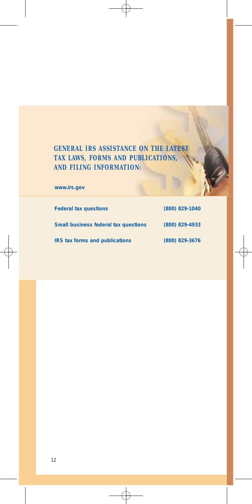## **GENERAL IRS ASSISTANCE ON THE LATEST TAX LAWS, FORMS AND PUBLICATIONS, AND FILING INFORMATION:**

**www.irs.gov** 

| <b>Federal tax questions</b>                | (800) 829-1040 |
|---------------------------------------------|----------------|
| <b>Small business federal tax questions</b> | (800) 829-4933 |
| <b>IRS tax forms and publications</b>       | (800) 829-3676 |